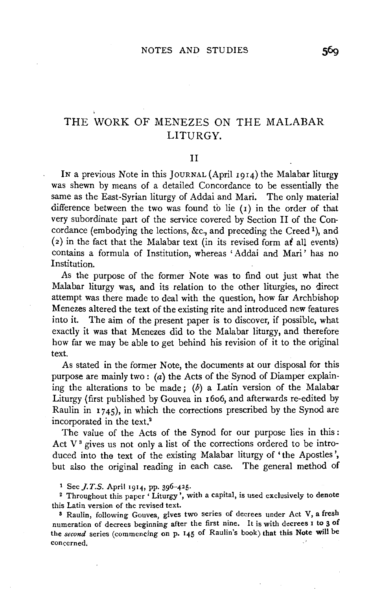# **THE** WORK OF MENEZES ON THE MALABAR LITURGY.

### II

IN a previous Note in this JoURNAL (April 1914) the Malabar liturgy was shewn by means of a detailed Concordance to be essentially the same as the East-Syrian liturgy of Addai and Mari. The only material difference between the two was found to lie  $(1)$  in the order of that very subordinate part of the service covered by Section II of the Concordance (embodying the lections, &c., and preceding the Creed<sup>1</sup>), and (2) in the fact that the Malabar text (in its revised form  $a\dot{t}$  all events) contains a formula of Institution, whereas 'Addai and Mari' has no Institution.

As the purpose of the former Note was to find out just what the Malabar liturgy was, and its relation to the other liturgies, no direct attempt was there made to deal with the question, how far Archbishop Menezes altered the text of the existing rite and introduced new features into it. The aim of the present paper is to discover, if possible, what exactly it was that Menezes did to the Malabar liturgy, and therefore how far we may be able to get behind his revision of it to the original text.

As stated in the former Note, the documents at our disposal for this purpose are mainly two :  $(a)$  the Acts of the Synod of Diamper explaining the alterations to be made;  $(b)$  a Latin version of the Malabar Liturgy (first published by Gouvea in 16o6, and afterwards re-edited by Raulin in 1745), in which the corrections prescribed by the Synod are incorporated in the text.<sup>2</sup>

The value of the Acts of the Synod for our purpose lies in this : Act  $V^3$  gives us not only a list of the corrections ordered to be introduced into the text of the existing Malabar liturgy of 'the Apostles', but also the original reading in each case. The general method of

<sup>1</sup>See J. *T.S.* April 1914, pp. 396-425.

<sup>2</sup> Throughout this paper 'Liturgy', with a capital, is used exclusively to denote this Latin version of the revised text.

s Raulin, following Gouvea, gives two series of decrees under Act V, a fresh numeration of decrees beginning after the first nine. It is with decrees 1 **to** 3 of the *second* series (commencing on p. 145 of Raulin's book) that this Note **will** be concerned.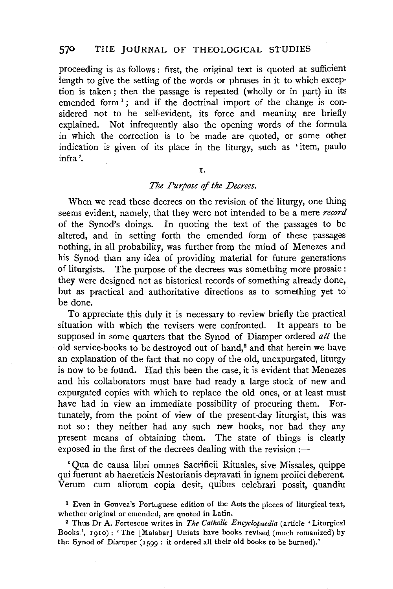proceeding is as follows : first, the original text is quoted at sufficient length to give the setting of the words or phrases in it to which exception is taken; then the passage is repeated (wholly or in part) in its emended form<sup>1</sup>; and if the doctrinal import of the change is considered not to be self-evident, its force and meaning are briefly explained. Not infrequently also the opening words of the formula in which the correction is to be made are quoted, or some other indication is given of its place in the liturgy, such as 'item, paulo infra'.

#### I.

# *The Purpose* of *the Decrees.*

When we read these decrees on the revision of the liturgy, one thing seems evident, namely, that they were not intended to be a mere *record*  of the Synod's doings. In quoting the text of the passages to be altered, and in setting forth the emended form of these passages nothing, in all probability, was further from the mind of Menezes and his Synod than any idea of providing material for future generations of liturgists. The purpose of the decrees was something more prosaic : they were designed not as historical records of something already done, but as practical and authoritative directions as to something yet to be done.

To appreciate this duly it is necessary to review briefly the practical situation with which the revisers were confronted. It appears to be supposed in some quarters that the Synod of Diamper ordered *all* the old service-books to be destroyed out of hand,<sup>2</sup> and that herein we have an explanation of the fact that no copy of the old, unexpurgated, liturgy is now to be found. Had this been the case, it is evident that Menezes and his collaborators must have had ready a large stock of new and expurgated copies with which to replace the old ones, or at least must have had in view an immediate possibility of procuring them. Fortunately, from the point of view of the present-day liturgist, this was not so: they neither had any such new books, nor had they any present means of obtaining them. The state of things is clearly exposed in the first of the decrees dealing with the revision :—

'Qua de causa libri omnes Sacrificii Rituales, sive Missales, quippe qui fuerunt ab haereticis Nestorianis depravati in ignem proiici deberent. Verum cum aliorum copia desit, quibus celebrari possit, quandiu

<sup>1</sup> Even in Gouvea's Portuguese edition of the Acts the pieces of liturgical text, whether original or emended, are quoted in Latin.<br><sup>2</sup> Thus Dr A. Fortescue writes in *The Catholic Encyclopaedia* (article 'Liturgical

Books', 1910): 'The [Malabar] Uniats have books revised (much romanized) by the Synod of Diamper (1599 : it ordered all their old books to be burned).'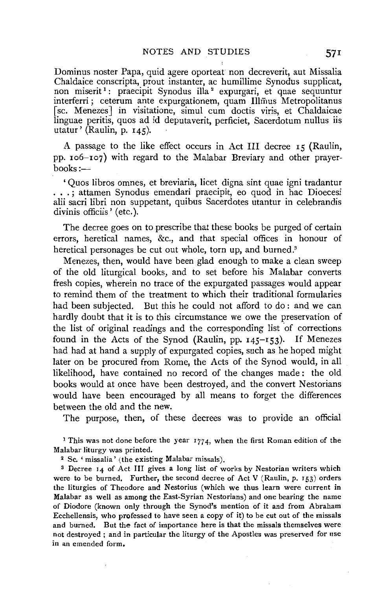Dominus noster Papa, quid agere oporteat non decreverit, aut Missalia Chaldaice conscripta, prout instanter, ac humillime Synodus supplicat, non miserit<sup>1</sup>: praecipit Synodus illa<sup>2</sup> expurgari, et quae sequuntur interferri ; ceterum ante expurgationem, quam Illmus Metropolitanus *[* sc. Menezes J in visitatione, simul cum doctis viris, et Chaldaicae linguae peritis, quos ad id deputaverit, perficiet, Sacerdotum nullus iis utatur' (Raulin, p. 145).

A passage to the like effect occurs in Act III decree  $r_5$  (Raulin, pp. ro6-ro7) with regard to the Malabar Breviary and other prayerbooks:-

' Quos libros omnes, et breviaria, licet digna sint quae igni tradantur . . . ; attamen Synodus emendari praecipit, eo quod in hac Dioecesi alii sacri libri non suppetant, quibus Sacerdotes utantur in celebrandis divinis officiis' (etc.).

The decree goes on to prescribe that these books be purged of certain errors, heretical names, &c., and that special offices in honour of heretical personages be cut out whole, torn up, and burned.<sup>3</sup>

Menezes, then, would have been glad enough to make a clean sweep of the old liturgical books, and to set before his Malabar converts fresh copies, wherein no trace of the expurgated passages would appear to remind them of the treatment to which their traditional formularies had been subjected. But this he could not afford to do : and we can hardly doubt that it is to this circumstance we owe the preservation of the list of original readings and the corresponding list of corrections found in the Acts of the Synod (Raulin, pp.  $145-153$ ). If Menezes had had at hand a supply of expurgated copies, such as he hoped might later on be procured from Rome, the Acts of the Synod would, in all likelihood, have contained no record of the changes made : the old books would at once have been destroyed, and the convert Nestorians would have been encouraged by all means to forget the differences between the old and the new.

The purpose, then, of these decrees was to provide an official

<sup>1</sup> This was not done before the year 1774, when the first Roman edition of the Malabar liturgy was printed.

2 Sc. 'missalia' (the existing Malabar missals).

s Decree 14 of Act III gives a long list of works by Nestorian writers which were to be burned. Further, the second decree of Act V (Raulin, p.  $153$ ) orders the liturgies of Theodore and Nestorius (which we thus learn were current in Malabar as well as among the East-Syrian Nestorians) and one bearing the name of Diodore (known only through the Synod's mention of it and from Abraham Ecchellensis, who professed to have seen a copy of it) to be cut out of the missals and burned. But the fact of importance here is that the missals themselves were not destroyed ; and in particular the liturgy of the Apostles was preserved for use in an emended form,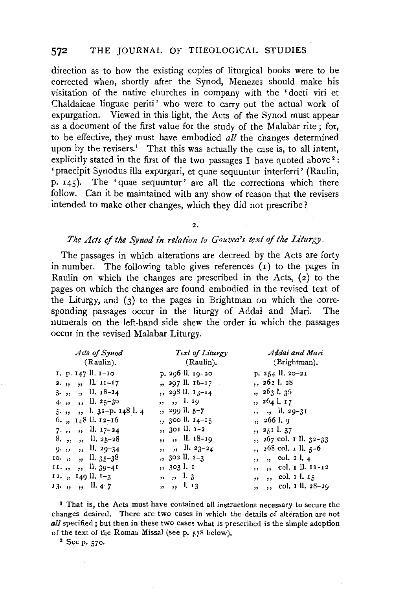direction as to how the existing copies of liturgical books were to be corrected when, shortly after the Synod, Menezes should make his visitation of the native churches in company with the 'docti viri et Chaldaicae linguae periti' who were to carry out the actual work of expurgation. Viewed in this light, the Acts of the Synod must appear as a document of the first value for the study of the Malabar rite ; for, to be effective, they must have embodied *all* the changes determined upon by the revisers.<sup>1</sup> That this was actually the case is, to all intent, explicitly stated in the first of the two passages I have quoted above<sup>2</sup>: 'praecipit Synodus illa expurgari, et quae sequuntur interferri' (Raulin, p. 145). The 'quae sequuntur' are all the corrections which there follow. Can it be maintained with any show of reason that the revisers intended to make other changes, which they did not prescribe?

#### *The Acts* of *the Synod in relation to Gouvea's text* of *the Liturgy.*

The passages in which alterations are decreed by the Acts are forty in number. The following table gives references  $(r)$  to the pages in Raulin on which the changes are prescribed in the Acts,  $(z)$  to the pages on which the changes are found embodied in the revised text of the Liturgy, and  $(3)$  to the pages in Brightman on which the corresponding passages occur in the liturgy of Addai and Mari. The numerals on the left-hand side shew the order in which the passages occur in the revised Malabar Liturgy.

| Acts of Synod                            | Text of Liturgy       | Addai and Mari                   |
|------------------------------------------|-----------------------|----------------------------------|
| (Raulin).                                | (Raulin).             | (Brightman).                     |
| I. p. 147 ll. 1–10                       | p. 296 ll. 19-20      | p. 254 ll. 20-21                 |
| 2.,, ,, ll. $11-17$                      | $, 297$ ll. $16-17$   | , 2621.28                        |
| $3.$ , , , ll. $18-24$                   | ,, 298 ll. 13–14      | , 2631.35                        |
| 4. $\frac{1}{2}$ , $\frac{1}{25-30}$     | ,, ,, l. 29           | ,, 264 l. 17                     |
| 5.,, ,, l. 31-p. 148 l. 4                | ,, 299 ll. 5–7        | $, \quad$ , $\frac{11.29-31}{ }$ |
| 6., $148$ ll. $12-16$                    | $, 300$ ll. $14-15$   | , 2661.9                         |
| $7.$ , , , ll. $17-24$                   | ,, 301 ll. 1-2        | ,, 251 l. 37                     |
| $8, \; \frac{1}{2}, \; \frac{11}{25-28}$ | ,, ,, il. 18-19       | ,, 267 col. 1 ll. 32-33          |
| $9.$ , , , ll. 29-34                     | $, \quad$ , II. 23-24 | $, 268$ col. 1 ll. 5–6           |
| 10.,, ,, ll. 35–38                       | $, 302$ ll. $2-3$     | ,, ,, col. 2 l. 4                |
| 11.,, ,, ll. 39-41                       | ,, 303 l. I           | ,, ,, col. I ll. 11-12           |
| 12., 149 ll. 1–3                         | ,, ,, 1.3             | ,, ,, col. 1 l. 15               |
| $13.$ ,,,,,ll.4-7                        | ,, ,, 1. 13           | $, , ,$ col. 1 ll. 28–29         |
|                                          |                       |                                  |

1 That is, the Acts must have contained all instructions necessary to secure the changes desired. There are two cases in which the details of alteration are not *all* specified; but then in these two cases what is prescribed is the simple adoption of the text of the Roman Missal (seep. 578 below). 2 Seep. 570.

<sup>2.</sup>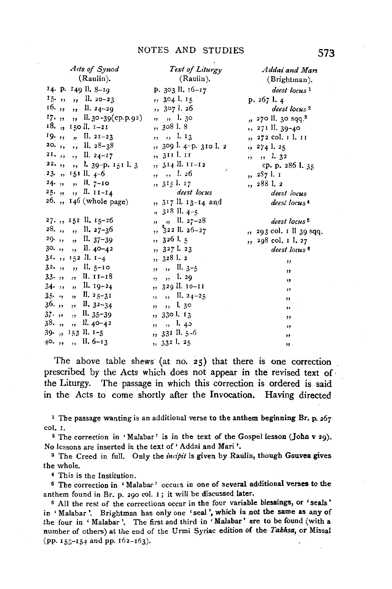| Acts of Synod<br>(Raulin).                                         | Text of Liturgy<br>(Raulin). | Addai and Man                  |
|--------------------------------------------------------------------|------------------------------|--------------------------------|
|                                                                    |                              | (Brightman).                   |
| 14. p. 149 ll. 8-19                                                | p. 303 ll. 16-17             | deest locus 1                  |
| $15 \cdot \ldots \cdot$ , II. 20-23                                | , 3041.15                    | p. 2671.4                      |
| $16.$ ,, ,, ll. 24-29                                              | , 3071.26                    | deest locus <sup>2</sup>       |
| $17.$ , , , ll. 30-39(cp.p.92)                                     | ,, ,, l. 30                  | " 270 ll. 30 sqq. <sup>8</sup> |
| 18., 150 ll. 1–21                                                  | , 3081.8                     | ,, 271 ll. 39-40               |
| 19., $\frac{1}{2}$ , $\frac{1}{2}$ , $\frac{1}{2}$ , $\frac{1}{2}$ | $, , ,$ 1. 13                | ,, 272 col. 1 l. 11            |
| 20., , , ll. $28-38$                                               | ,, 309 l. 4-p. 310 l. 2      | ,, 274 l. 25                   |
| $2I.$ ,, ,, ll. $24-27$                                            | ,, 311 l. 11                 | ,, ,, l. 32                    |
| $22.$ , , , l. 39-p. 151 l. 3                                      | ,, 314 ll. 11-12<br>ż        | cp. p. 286 l. 35               |
| $23.$ , $151$ ll. $4-6$                                            | $, , , ,$ 1. 26              | ,, 287 l. 1                    |
| $24.$ , , , ll. $7-10$                                             | ,, 315 l. 17                 | ,, 288 l. 2                    |
| $25.$ , , , II. $11-14$                                            | deest locus                  | deest locus                    |
| 26. ,, 146 (whole page)                                            | ,, 317 ll. 13-14 and         | deest locus <sup>4</sup>       |
|                                                                    | $, 318$ ll. $4-5$            |                                |
| $27.$ , $15I$ ll. $15-26$                                          | $, , ,$ $,$ II. $27-28$      | deest locus <sup>5</sup>       |
| $28.$ , , , ll. $27-36$                                            | $, \frac{5}{3}$ 22 ll. 26–27 | ", 293 col. Ill 39 sqq.        |
| $29.$ , , , ll. $37-39$                                            | , 3261.5                     | ,, 298 col. 1 l. 27            |
| $30.$ , , , ll. $40-42$                                            | $, 327$ l. 23                | deest locus <sup>6</sup>       |
| 31.,, 152 ll. 1-4                                                  | ,, 328 l. 2                  | ,,                             |
| $3^2$ , , , ll. $5^{-10}$                                          | $, \; \;$ , $\;$ II. 3-5     | "                              |
| $33.$ , , , II. $11-18$                                            | $, , ,$ $,$ 1. 29            | ,,                             |
| $34 \cdot$ , , , ll. 19-24                                         | ,, 329 ll. 10-11             | ,,                             |
| $35.$ , , , ll. $25-31$                                            | $, , ,$ , II. 24-25          | ,,                             |
| $36.$ ,, ,, ll. $32-34$                                            | ", "l. 30                    | ,,                             |
| $37.$ , , , ll. $35-39$                                            | " 330 l. 13                  | ,,                             |
| $38.$ , , , ll. $40-42$                                            | $, , ,$ $, 1.45$             | "                              |
| 39., 153 ll. 1-5                                                   | " 331 ll. 5-6                | "                              |
| $40.$ , , , ll. 6-13                                               | ,, 332 1. 25                 | "                              |
|                                                                    |                              |                                |

The above table shews (at no. 25) that there is one correction prescribed by the Acts which does not appear in the revised text of. the Liturgy. The passage in which this correction is ordered is said in the Acts to come shortly after the Invocation. Having directed

<sup>1</sup> The passage wanting is an additional verse to the anthem beginning Br. p.  $267$ col. I.

2 The correction in • Malabar' is in the text of the Gospel lesson (John v 29). No lessons are inserted in the text of' Addai and Marl'·

<sup>3</sup> The Creed in full. Only the *incipit* is given by Raulin, though Gouvea gives the whole.

*<sup>4</sup>*This is the Institution.

5 The correction in ' Malabar' occurs in one of several additional verses to the anthem found in Br. p. 290 col. I ; it will be discussed later.

6 All the rest of the corrections occur in the four variable blessings, or 'seals' in 'Malabar'. Brightman has only one 'seal', which is not the same as any of the four in 'Malabar'. The first and third in' Malabar' are to be found (with a number of others) at the end of the Urmi Syriac edition of the *Takhsa,* or Missal (pp. 153-I54 and pp. 162-I63).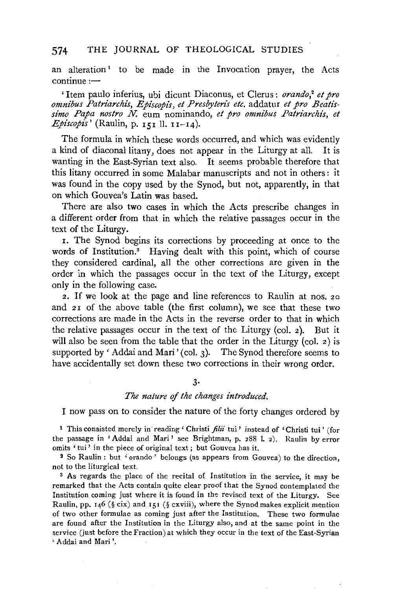an alteration<sup>1</sup> to be made in the Invocation prayer, the Acts  $continue:$ 

'Item paulo inferius, ubi dicunt Diaconus, et Clerus: *orando,2 et pro omnibus Patriarchis, Episcopis, et Presbyteris etc.* addatur *et pro Beatissimo Papa nostro N.* eum nominando, *et pro omnibus Patriarchis, et*   $E$ *piscopis'* (Raulin, p. 151 ll. 11-14).

The formula in which these words occurred, and which was evidently a kind of diaconal litany, does not appear in the Liturgy at all. It is wanting in the East-Syrian text also. It seems probable therefore that this litany occurred in some Malabar manuscripts and not in others : it was found in the copy used by the Synod, but not, apparently, in that on which Gouvea's Latin was based.

There are also two cases in which the Acts prescribe changes in a different order from that in which the relative passages occur in the text of the Liturgy.

1. The Synod begins its corrections by proceeding at once to the words of Institution.<sup>3</sup> Having dealt with this point, which of course they considered cardinal, all the other corrections are given in the order in which the passages occur in the text of the Liturgy, except only in the following case.

2. If we look at the page and line references to Raulin at nos. 20 and 21 of the above table (the first column), we see that these two corrections are made in the Acts in the reverse order to that in which the relative passages occur in the text of the Liturgy (col.  $2$ ). But it will also be seen from the table that the order in the Liturgy (col. 2) is supported by 'Addai and Mari' (col. 3). The Synod therefore seems to have accidentally set down these two corrections in their wrong order.

### 3·

#### *The nature* of *the changes introduced.*

I now pass on to consider the nature of the forty changes ordered by

1 This consisted merely in· reading' Christi *filii* tui' instead of 'Christi tui' (for the passage in 'Addai and Mari' see Brightman, p. 288 I. 2). Haulin by error omits ' tui' in the piece of original text; but Gouvea has it.

2 So Raulin: but 'orando' belongs (as appears from Gouvea) to the direction, not to the liturgical text.

<sup>3</sup> As regards the place of the recital of Institution in the service, it may be remarked that the Acts contain quite clear proof that the Synod contemplated the Institution coming just where it is found in the revised text of the Liturgy. See Raulin, pp. 146 (§ cix) and 151 (§ cxviii), where the Synod makes explicit mention of two other formulae as coming just after the Institution. These two formulae are found after the Institution in the Liturgy also, and at the same point in the service (just before the Fraction) at which they occur in the text of the East-Syrian 'Addai and Mari '.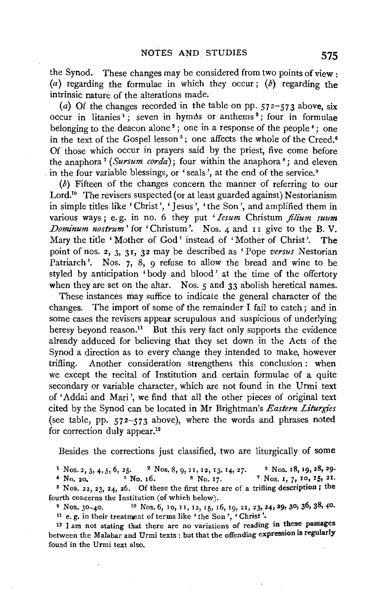the Synod. These changes may be considered from two points of view. (a) regarding the formulae in which they occur; (b) regarding the intrinsic nature of the alterations made.

(a) Of the changes recorded in the table on pp.  $572-573$  above, six occur in litanies<sup>1</sup>; seven in hymns or anthems<sup>2</sup>; four in formulae belonging to the deacon alone 8 ; one in a response of the people *4* ; one in the text of the Gospel lesson<sup>5</sup>; one affects the whole of the Creed.<sup>6</sup> Of those which occur in prayers said by the priest, five come before the anaphora<sup>7</sup> (*Sursum corda*); four within the anaphora<sup>8</sup>; and eleven in the four variable blessings, or 'seals', at the end of the service.<sup>9</sup>

(b) Fifteen of the changes concern the manner of referring to our Lord.<sup>10</sup> The revisers suspected (or at least guarded against) Nestorianism in simple titles like 'Christ', 'Jesus', 'the Son', and amplified them in various ways; e.g. in no. 6 they put 'Iesum Christum filium suum *Dominum nostrum'* for 'Christum'. Nos. 4 and  $\overline{11}$  give to the B.V. Mary the title ' Mother of God' instead of 'Mother of Christ'. The point of nos. *z,* 3, 31, 32 may be described as 'Pope *versus* Nestorian Patriarch'. Nos. 7, 8, 9 refuse to allow the bread and wine to be styled by anticipation 'body and blood' at the time of the offertory when they are set on the altar. Nos.  $5$  and  $33$  abolish heretical names.

These instances may suffice to indicate the general character of the changes. The import of some of the remainder I fail to catch; and in some cases the revisers appear scrupulous and suspicious of underlying heresy beyond reason.<sup>11</sup> But this very fact only supports the evidence already adduced for believing that they set down in the Acts of the Synod a direction as to every change they intended to make, however trifling. Another consideration strengthens this conclusion : when we except the recital of Institution and certain formulae of a quite secondary or variable character, which are not found in the Urmi text of 'Addai and Mari ', we find that all the other pieces of original text cited by the Synod can be located in Mr Brightman's *Eastern Liturgies*  (see table, pp. 572-573 above), where the words and phrases noted for correction duly appear.<sup>12</sup>

Besides the corrections just classified, two are liturgically of some

1 Nos. 2, 3, 4, 5, 6, 25. 2 Nos. 8, 9, 11, 12, 13, 14, 27. 3 Nos. 18, 19, 28, 29.<br>
4 No. 20. <sup>5</sup> No. 16. <sup>6</sup> No. 17. <sup>7</sup> Nos. 1, 7, 10, 15, 21.  $7$  Nos. 1, 7, 10, 15, 21. 8 Nos. 22, 23, 24, 26. Of these the first three are of a trifling description; the fourth concerns the Institution (of which below).

 $9$  Nos. 30-40. <sup>10</sup> Nos. 6, 10, 11, 12, 15, 16, 19, 21, 23, 24, 29, 30, 36, 38, 40. 11 e. g. in their treatment of terms like 'the Son', 'Christ'.

12 I am not stating that there are no variations of reading in these passages between the Malabar and Urmi texts: but that the offending expression is regularly found in the Urmi text also.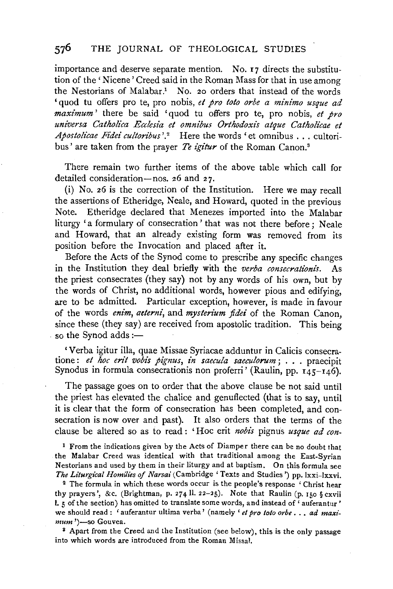importance and deserve separate mention. No. I7 directs the substitution of the ' Nicene ' Creed said in the Roman Mass for that in use among the Nestorians of Malabar.<sup>1</sup> No. 20 orders that instead of the words 'quod tu offers pro te, pro nobis, *et pro toto orbe a minimo usque ad maximum'* there be said 'quod tu offers pro te, pro nobis, *et pro universa Catholica Ecclesia et omnibus Orthodoxis atque Catholz"cae et Apostolicae Fidei culton"bus '}* Here the words 'et omnibus ... cultoribus' are taken from the prayer *Te igitur* of the Roman Canon.8

There remain two further items of the above table which call for detailed consideration-nos. 26 and 27.

(i) No. 26 is the correction of the Institution. Here we may recall the assertions of Etheridge, Neale, and Howard, quoted in the previous Note. Etheridge declared that Menezes imported into the Malabar liturgy 'a formulary of consecration' that was not there before; Neale and Howard, that an already existing form was removed from its position before the Invocation and placed after it.

Before the Acts of the Synod come to prescribe any specific changes in the Institution they deal briefly with the *verba consecrationis.* As the priest consecrates (they say) not by any words of his own, but by the words of Christ, no additional words, however pious and edifying, are to be admitted. Particular exception, however, is made in favour of the words *enim*, aeterni, and *mysterium fidei* of the Roman Canon, since these (they say) are received from apostolic tradition. This being so the Synod adds : $-$ 

'Verba igitur ilia, quae Missae Syriacae adduntur in Calicis consecratione: *et hoc erit vobis pignus, in saecula saeculorum;* ... praecipit Synodus in formula consecrationis non proferri' (Raulin, pp.  $145-146$ ).

The passage goes on to order that the above clause be not said until the priest has elevated the chalice and genuflected (that is to say, until it is clear that the form of consecration has been completed, and consecration is now over and past). It also orders that the terms of the clause be altered so as to read : 'Hoc erit *nobis* pignus *usque ad con-*

<sup>1</sup> From the indications given by the Acts of Diamper there can be no doubt that the Malabar Creed was identical with that traditional among the East-Syrian Nestorians and used by them in their liturgy and at baptism. On this formula see *The Liturgical Homilies of Narsai* (Cambridge 'Texts and Studies') pp. lxxi-lxxvi.

2 The formula in which these words occur is the people's response ' Christ hear thy prayers', &c. (Brightman, p. 274 ll. 22-25). Note that Raulin (p. 150 § cxvii I. 5 of the section) has omitted to translate some words, and instead of' auferantur' we should read: 'auferantur ultima verba' (namely ' *et pro toto orbe* . . . *ad maxi-mum*')—so Gouvea.

<sup>8</sup> Apart from the Creed and the Institution (see below), this is the only passage into which words are introduced from the Roman Missal.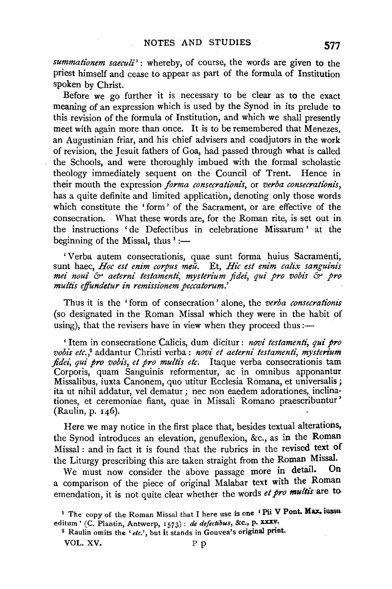summationem saeculi': whereby, of course, the words are given to the priest himself and cease to appear as part of the formula of Institution spoken by Christ.

Before we go further it is necessary to be clear as to the exact meaning of an expression which is used by the Synod in its prelude to this revision of the formula of Institution, and which we shall presently meet with again more than once. It is to be remembered that Menezes, an Augustinian friar, and his chief advisers and coadjutors in the work of revision, the Jesuit fathers of Goa, had passed through what is called the Schools, and were thoroughly imbued with the formal scholastic theology immediately sequent on the Council of Trent. Hence in their mouth the expression *forma consecratt'onis,* or *verba consecrationis,*  has a quite definite and limited application, denoting only those words which constitute the 'form' of the Sacrament, or are effective of the consecration. What these words are, for the Roman rite, is set out in the instructions 'de Defectibus in celebratione Missarum ' at the beginning of the Missal, thus  $\frac{1}{1}$  :-

'Verba autem consecrationis, quae sunt forma huius Sacramenti, sunt haec, *Hoc est enim corpus meu*. Et, *Hic est enim calix sanguinis met" noui* &> *aeterni testamentt: mysterium fidei, qui pro vobts* &> *pro multzs effundetur in remissionem peccatorum.'* 

Thus it is the 'form of consecration ' alone, the *verba consecrationis*  (so designated in the Roman Missal which they were in the habit of using), that the revisers have in view when they proceed thus: $-$ 

' Item in consecratione Calicis, dum dicitur : *novi testamenti, qui pro vobis etc.,2* addantur Christi verba: *novi et aeterni testamenti, mystenum fidei, qui pro vobis, et pro multis etc.* Itaque verba consecrationis tam Corporis, quam Sanguinis reformentur, ac in omnibus apponantur Missalibus, iuxta Canonem, quo utitur Ecclesia Romana, et universalis; ita ut nihil addatur, vel dematur ; nee non eaedem adorationes, inclinationes, et ceremoniae fiant, quae in Missali Romano praescribuntur' (Raulin, p. 146).

Here we may notice in the first place that, besides textual alterations, the Synod introduces an elevation, genuflexion, &c., as in the Roman Missal : and in fact it is found that the rubrics in the revised text of the Liturgy prescribing this are taken straight from the Roman Missal.<br>We must now consider the shore passage more in detail. On

We must now consider the above passage more in detail. a comparison of the piece of original Malabar text with the Roman emendation, it is not quite clear whether the words *et pro multis* are to

<sup>&</sup>lt;sup>1</sup> The copy of the Roman Missal that I here use is one 'Pii V Pont. Max. iussueditum' (C. Plantin, Antwerp,  $1573$ ): *de defectibus*, &c., p. XXXV.

<sup>&</sup>lt;sup>2</sup> Raulin omits the 'etc.', but it stands in Gouvea's original print. VOL. XV. P p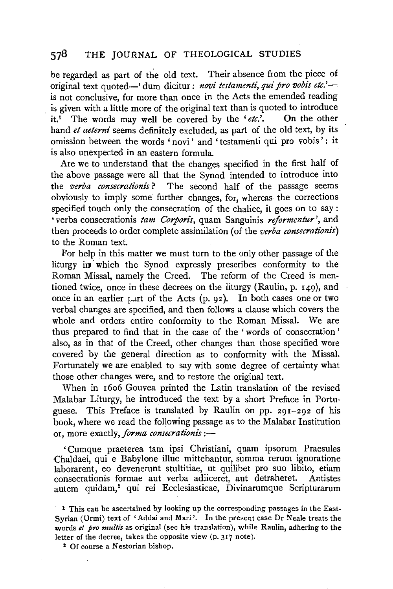be regarded as part of the old text. Their absence from the piece of original text quoted-' dum dicitur: *novi testamenti, qui pro vobis etc.'* is not conclusive, for more than once in the Acts the emended reading is given with a little more of the original text than is quoted to introduce it.1 The words may well be covered by the *'etc.'.* On the other hand *et aeterni* seems definitely excluded, as part of the old text, by its omission between the words 'novi' and 'testamenti qui pro vobis' : it is also unexpected in an eastern formula.

Are we to understand that the changes specified in the first half of the above passage were all that the Synod intended to introduce into the *verba consecrationis*? The second half of the passage seems obviously to imply some further changes, for, whereas the corrections specified touch only the consecration of the chalice, it goes on to say: 'verba consecrationis *tam Corpon's,* quam Sanguinis *reformentur',* and then proceeds to order complete assimilation (of the *verba consecrationis)*  to the Roman text.

For help in this matter we must turn to the only other passage of the liturgy in which the Synod expressly prescribes conformity to the Roman Missal, namely the Creed. The reform of the Creed is mentioned twice, once in these decrees on the liturgy (Raulin, p. 149), and once in an earlier part of the Acts  $(p, q<sub>2</sub>)$ . In both cases one or two verbal changes are specified, and then follows a clause which covers the whole and orders entire conformity to the Roman Missal. We are thus prepared to find that in the case of the ' words of consecration ' also, as in that of the Creed, other changes than those specified were covered by the general direction as to conformity with the Missal. Fortunately we are enabled to say with some degree of certainty what those other changes were, and to restore the original text.

When in r6o6 Gouvea printed the Latin translation of the revised Malabar Liturgy, he introduced the text by a short Preface in Portuguese. This Preface is translated by Raulin on pp. 291-292 of his book, where we read the following passage as to the Malabar Institution or, more exactly, *forma consecrationis* :-

' Cum que praeterea tam ipsi Christiani, quam ipsorum Praesules Chaldaei, qui e Babylone illuc mittebantur, summa rerum ignoratione laborarent, eo devenerunt stultitiae, ut quilibet pro suo libito, etiam consecrationis formae aut verba adiiceret, aut detraheret. Antistes autem quidam,<sup>2</sup> qui rei Ecclesiasticae, Divinarumque Scripturarum

1 This can be ascertained by looking up the corresponding passages in the East-Syrian (Urmi) text of 'Addai and Mari'. In the present case Dr Neale treats the words et pro multis as original (see his translation), while Raulin, adhering to the letter of the decree, takes the opposite view (p. 317 note).

<sup>2</sup> Of course a Nestorian bishop.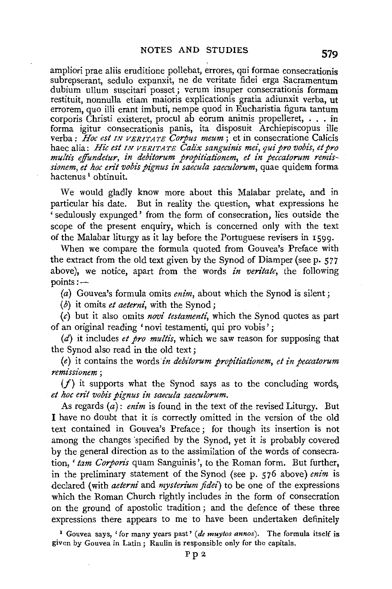ampliori prae aliis eruditione pollebat, errores, qui formae consecrationis subrepserant, sedulo expunxit, ne de veritate fidei erga Sacramentum dubium ullum suscitari posset; verum insuper consecrationis formam restituit, nonnulla etiam maioris explicationis gratia adiunxit verba, ut errorem, quo illi erant imbuti, nempe quod in Eucharistia figura tantum corporis Christi existeret, procul ab eorum animis propelleret, . . . in forma igitur consecrationis panis, ita disposuit Archiepiscopus ille verba: *Hoc est IN VERITATE Corpus meum;* et in consecratione Calicis haec alia: *Hie est IN VERITATE Calix sanguinis mei, qui pro vobis, et pro multis effundetur, in debitorum propitiationem, et in peccatorum remissionem, et hoc en't vobis pignus in saecula saeculorum,* quae quidem forma hactenus<sup>1</sup> obtinuit.

We would gladly know more about this Malabar prelate, and in particular his date. But in reality the question, what expressions he ' sedulously expunged' from the form of consecration, lies outside the scope of the present enquiry, which is concerned only with the text of the Malabar liturgy as it lay before the Portuguese revisers in 1599.

When we compare the formula quoted from Gouvea's Preface with the extract from the old text given by the Synod of Diamper (seep. 577 above), we notice, apart from the words *in ven'tate,* the following points:-

(a) Gouvea's formula omits *enim,* about which the Synod is silent;

(b) it omits *et aeterni,* with the Synod;

(c) but it also omits *novi testamenti,* which the Synod quotes as part of an original reading 'novi testamenti, qui pro vobis';

(d) it includes *et pro multis,* which we saw reason for supposing that the Synod also read in the old text ;

(e) it contains the words *·in debitorum propitiationem, et in peccatorum remissionem* ;

 $(f)$  it supports what the Synod says as to the concluding words, *et hoc erit vobis pignus in saecula saeculorum.* 

As regards (a): *enim* is found in the text of the revised Liturgy. But I have no doubt that it is correctly omitted in the version of the old text contained in Gouvea's Preface; for though its insertion is not among the changes specified by the Synod, yet it is probably covered by the general direction as to the assimilation of the words of consecration, *'tam Corporis* quam Sanguinis', to the Roman form. But further, in the preliminary statement of the Synod (see p. 576 above) *enim* is declared (with *aeterni* and *mysterium fidei)* to be one of the expressions which the Roman Church rightly includes in the form of consecration on the ground of apostolic tradition ; and the defence of these three expressions there appears to me to have been undertaken definitely

1 Gouvea says, 'for many years past' *(de muytos annos).* The formula itself is given by Gouvea in Latin ; Raulin is responsible only for the capitals.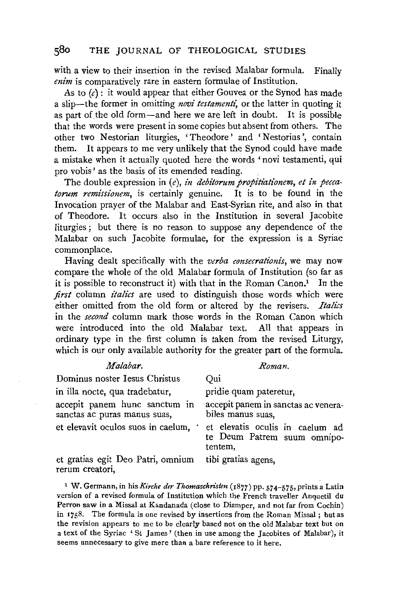with a view to their insertion in the revised Malabar formula. Finally *enim* is comparatively rare in eastern formulae of Institution.

As to  $(c)$ : it would appear that either Gouvea or the Synod has made a slip-the former in omitting *novi testamenti*, or the latter in quoting it as part of the old form-and here we are left in doubt. It is possible that the words were present in some copies but absent from others. The other two Nestorian liturgies, 'Theodore' and 'Nestorius ', contain them. It appears to me very unlikely that the Synod could have made a mistake when it actually quoted here the words ' novi testamenti, qui pro vobis' as the basis of its emended reading.

The double expression in (e), *in debitorum propitiationem*, *et in peccatorum remissionem,* is certainly genuine. It is to be found in the Invocation prayer of the Malabar and East-Syrian rite, and also in that of Theodore. It occurs also in the Institution in several Jacobite liturgies ; but there is no reason to suppose any dependence of the Malabar on such Jacobite formulae, for the expression is a Syriac commonplace.

Having dealt specifically with the *verba consecrationis,* we may now compare the whole of the old Malabar formula of Institution (so far as it is possible to reconstruct it) with that in the Roman Canon.<sup>1</sup> In the *first* column *italics* are used to distinguish those words which were either omitted from the old form or altered by the revisers. *Italics*  in the *second* column mark those words in the Roman Canon which were introduced into the old Malabar text. All that appears in ordinary type in the first column is taken from the revised Liturgy, which is our only available authority for the greater part of the formula.

| Malabar.                                                      | Roman.                                                                    |
|---------------------------------------------------------------|---------------------------------------------------------------------------|
| Dominus noster Iesus Christus                                 | Oui                                                                       |
| in illa nocte, qua tradebatur,                                | pridie quam pateretur,                                                    |
| accepit panem hunc sanctum in<br>sanctas ac puras manus suas, | accepit panem in sanctas ac venera-<br>biles manus suas.                  |
| et elevavit oculos suos in caelum, '                          | et elevatis oculis in caelum ad<br>te Deum Patrem suum omnipo-<br>tentem, |
| et gratias egit Deo Patri, omnium<br>rerum creatori,          | tibi gratias agens,                                                       |

<sup>1</sup> W. Germann, in his Kirche der Thomaschristen (1877) pp. 574-575, prints a Latin version of a revised formula of Institution which the French traveller Anquetil du Perron saw in a Missal at Kandanada (close to Diamper, and not far from Cochin) in 1758. The formula is one revised by insertions from the Roman Missal; but as the revision appears to me to be clearly based not on the old Malabar text but on a text of the Syriac 'St James' (then in use among the Jacobites of Malabar), it seems unnecessary to give mere than a bare reference to it here.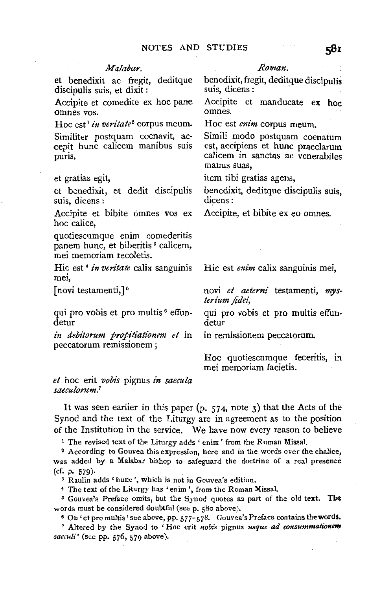### *Malabar.*

et benedixit ac fregit, deditque discipulis suis, et dixit :

Accipite et comedite ex hoc pane omnes vos.

Hoc est<sup>1</sup> in veritate<sup>2</sup> corpus meum. Similiter postquam coenavit, accepit hunc calicem manibus suis puris,

#### et gratias egit,

et benedixit, et dedit discipulis suis, dicens :

Accipite et bibite omnes vos ex hoc calice,

quotiescumque enim comederitis panem hunc, et biberitis<sup>3</sup> calicem, mei memoriam recoletis.

Hie est 4 *in veritate* calix sanguinis mei,

[novi testamenti,] $^5$ 

qui pro vobis et pro multis 6 effundetur

*in debitorum propitiationem et* in peccatorum remissionem ;

*et* hoc erit *vobis* pignus *in saecula saeculorum.7* 

#### *Roman.*

benedixit, fregit, deditque discipulis suis, dicens :

Accipite et manducate ex hoc

Hoc est *enim* corpus meum.

Simili modo postquam coenatum est, accipiens et hunc praeclarum calicem in sanctas ac venerabiles manus suas,

item tibi gratias agens,

benedixit, deditque discipulis suis, dicens:

Accipite, et bibite ex eo omnes.

Hie est *enim* calix sanguinis mei,

novi *et aeterni* testamenti, *mysterium fide£,* 

qui pro vobis et pro multis effundetur

in remissionem peccatorum.

Hoc quotiescumque feceritis, in mei memoriam facietis.

It was seen earlier in this paper  $(p, 574, \text{note } 3)$  that the Acts of the Synod and the text of the Liturgy are in agreement as to the position of the Institution in the service. We have now every reason to believe

<sup>1</sup> The revised text of the Liturgy adds 'enim' from the Roman Missal.

2 According to Gouvea this expression, here and in the words over the chalice, was added by a Malabar bishop to safeguard the doctrine of a real presence  $(cf. p. 579)$ .

s Raulin adds' hunc ',which is not in Gouvea's edition.

4 The text of the Liturgy has 'enim ', from the Roman Missal.

5 Gouvea's Preface omits, but the Synod quotes as part of the old text. The words must be considered doubtful (seep. 580 above).

<sup>6</sup> On 'et pro multis' see above, pp.  $577 - 578$ . Gouvea's Preface contains the words.

7 Altered by the Synod to ' Hoc erit *nobis* pignus *usque ad* consummation~ *sacculi'* (see pp. 576, 579 above).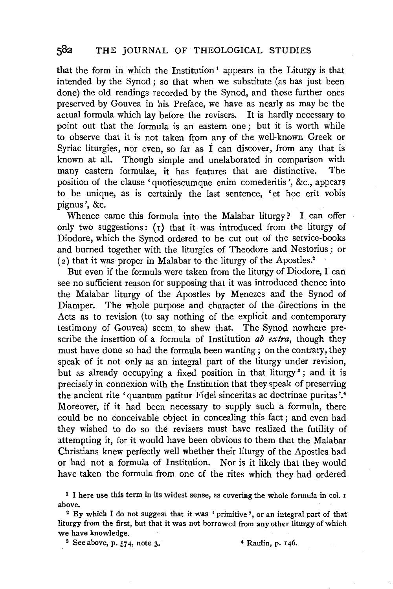that the form in which the Institution<sup>1</sup> appears in the Liturgy is that intended by the Synod; so that when we substitute (as has just been done) the old readings recorded by the Synod, and those further ones preserved by Gouvea in his Preface, we have as nearly as may be the actual formula which lay before the revisers. It is hardly necessary to point out that the formula is an eastern one; but it is worth while to observe that it is not taken from any of the well-known Greek or Syriac liturgies, nor even, so far as I can discover, from any that is known at all. Though simple and unelaborated in comparison with many eastern formulae, it has features that are distinctive. The position of the clause 'quotiescumque enim comederitis ', &c., appears to be unique, as is certainly the last sentence, 'et hoc erit vobis pignus', &c.

Whence came this formula into the Malabar liturgy ? I can offer only two suggestions:  $(1)$  that it was introduced from the liturgy of Diodore, which the Synod ordered to be cut out of the service-books and burned together with the liturgies of Theodore and Nestorius; or ( 2) that it was proper in Malabar to the liturgy of the Apostles.2

But even if the formula were taken from the liturgy of Diodore, I can see no sufficient reason for supposing that it was introduced thence into the Malabar liturgy of the Apostles by Menezes and the Synod of Diamper. The whole purpose and character of the directions in the Acts as to revision (to say nothing of the explicit and contemporary testimony of Gouvea) seem to shew that. The Synod nowhere prescribe the insertion of a formula of Institution *ab extra,* though they must have done so had the formula been wanting; on the contrary, they speak of it not only as an integral part of the liturgy under revision, but as already occupying a fixed position in that liturgy<sup>3</sup>; and it is precisely in connexion with the Institution that they speak of preserving the ancient rite 'quantum patitur Fidei sinceritas ac doctrinae puritas '.<sup>4</sup> Moreover, if it had been necessary to supply such a formula, there could be no conceivable object in concealing this fact ; and even had they wished to do so the revisers must have realized the futility of attempting it, for it would have been obvious to them that the Malabar Christians knew perfectly well whether their liturgy of the Apostles had or had not a formula of Institution. Nor is it likely that they would have taken the formula from one of the rites which they had ordered

1 I here use this term in its widest sense, as covering the whole formula in col. 1 above.<br><sup>2</sup> By which I do not suggest that it was 'primitive', or an integral part of that

liturgy from the first, but that it was not borrowed from any other liturgy of which we have knowledge.

 $$ \text{See above, p. } 574, \text{ note } 3. \qquad \text{4} \text{ Raulin, p. } 146. \text{4}$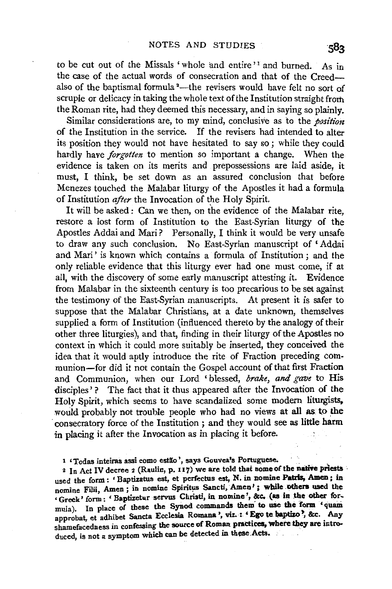to be cut out of the Missals 'whole and entire'<sup>1</sup> and burned. As in the case of the actual words of consecration and that of the Creedalso of the baptismal formula<sup>2</sup>—the revisers would have felt no sort of scruple or delicacy in taking the whole text of the Institution straight from the Roman rite, had they deemed this necessary, and in saying so plainly.

Similar considerations are, to my mind, conclusive as to the *position* of the Institution in the service. If the revisers had intended to alter its position they would not have hesitated to say so; while they could hardly have *forgotten* to mention so important a change. When the evidence is taken on its merits and prepossessions are laid aside, it must, I think, be set down as an assured conclusion that before Menezes touched the Malabar liturgy of the Apostles it had a formula of Institution *after* the Invocation of the Holy Spirit.

It will be asked: Can we then, on the evidence of the Malabar rite, restore a lost form of Institution to the East-Syrian liturgy of the Apostles Addai and Mari? Personally, I think it would be very unsafe to draw any such conclusion. No East-Syrian manuscript of 'Addai and Mari' is known which contains a formula of Institution; and the only reliable evidence that this liturgy ever had one must come, if at all, with the discovery of some early manuscript attesting it. Evidence from Malabar in the sixteenth century is too precarious to be set against the testimony of the East-Syrian manuscripts. At present it is safer to suppose that the Malabar Christians, at a date unknown, themselves supplied a form of Institution (influenced thereto by the analogy of their other three liturgies), and that, finding in their liturgy of the Apostles no context in which it could more suitably be inserted, they conceived the idea that it would aptly introduce the rite of Fraction preceding communion—for did it not contain the Gospel account of that first Fraction and Communion, when our Lord 'blessed, *brake, and gave* to His disciples'? The fact that it thus appeared after the Invocation of the Holy Spirit, which seems to have scandalized some modern liturgists, would probably not trouble people who had no views at all as to the ·consecratory force of the Institution ; and they would see as little harm in placing it after the Invocation as in placing it before.

1 'Todas inteiras assi como estão', says Gouvea's Portuguese.

<sup>2</sup> In Act IV decree 2 (Raulin, p. 117) we are told that some of the native priests used the form: 'Baptizatus est, et perfectus est, N. in nomine Patris, Amen; in nomine Filii, Amen; in nomine Spiritus Sancti, Amen'; while others used the 'Greek' form: 'Baptizetur servus Christi, in nomine', &c. (as in the other formula). In place of these the Synod commands them to use the form 'quam approbat, et adhibet Sancta Ecclesia Romana ', viz.: 'Ego te baptizo', &c. Any shamefacedness in confessing the source of Roman practices, where they are introduced, is not a symptom which can be detected in these Acts.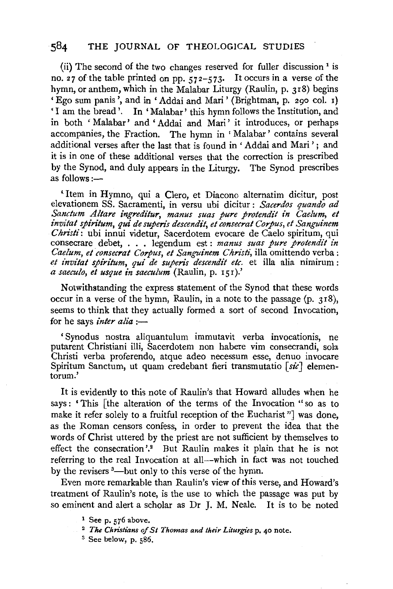(ii) The second of the two changes reserved for fuller discussion 1 is no. 27 of the table printed on pp.  $572-573$ . It occurs in a verse of the hymn, or anthem, which in the Malabar Liturgy (Raulin, p. 318) begins 'Ego sum panis', and in 'Addai and Mari' (Brightman, p. 290 col. 1) 'I am the bread'. In 'Malabar' this hymn follows the Institution, and in both 'Malabar' and 'Addai and Mari' it introduces, or perhaps accompanies, the Fraction. The hymn in ' Malabar' contains several additional verses after the last that is found in 'Addai and Mari'; and it is in one of these additional verses that the correction is prescribed by the Synod, and duly appears in the Liturgy. The Synod prescribes as follows : $-$ 

'Item in Hymno, qui a Clero, et Diacono alternatim dicitur, post elevationem SS. Sacramenti, in versu ubi dicitur : *Sacerdos quando ad*  Sanctum Altare ingreditur, manus suas pure protendit in Caelum, et *invitat spiritum, qui de superis descendit, et consecrat Corpus, et Sanguinem Christi:* ubi innui videtur, Sacerdotem evocare de Caelo spiritum, qui consecrare debet, . . . legendum est : *manus suas pure protendit in Caelum, et consecrat Corpus, et Sanguinem Christi,* ilia omittendo verba: et invitat spiritum, qui de superis descendit etc. et illa alia nimirum : *a saeculo, et usque in saeculum* (Raulin, p. 151).'

Notwithstanding the express statement of the Synod that these words occur in a verse of the hymn, Raulin, in a note to the passage (p. 3r8), seems to think that they actually formed a sort of second Invocation, for he says *inter alia* :-

' Synodus nostra aliquantulum immutavit verba invocationis, ne putarent Christiani illi, Sacerdotem non habere vim consecrandi, sola Christi verba proferendo, atque adeo necessum esse, denuo invocare Spiritum Sanctum, ut quam credebant fieri transmutatio [sic] elementorum.'

It is evidently to this note of Raulin's that Howard alludes when he says: 'This [the alteration of the terms of the Invocation "so as to make it refer solely to a fruitful reception of the Eucharist "] was done, as the Roman censors confess, in order to prevent the idea that the words of Christ uttered by the priest are not sufficient by themselves to effect the consecration'.<sup>2</sup> But Raulin makes it plain that he is not referring to the real Invocation at all-which in fact was not touched by the revisers <sup>3</sup>—but only to this verse of the hymn.

Even more remarkable than Raulin's view of this verse, and Howard's treatment of Raulin's note, is the use to which the passage was put by so eminent and alert a scholar as Dr J. M. Neale. It is to be noted

- 
- 1 See p. 576 above. 2 *The Christians of St Thomas and their Liturgies* p. 40 note.
- 3 See below, p. 586.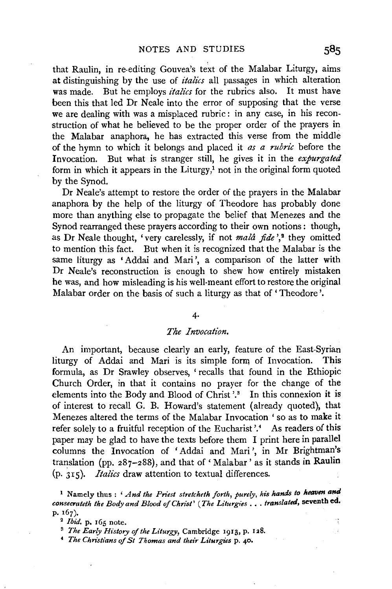that Raulin, in re-editing Gouvea's text of the Malabar Liturgy, aims at distinguishing by the use of *italics* all passages in which alteration was made. But he employs *italics* for the rubrics also. It must have been this that led Dr Neale into the error of supposing that the verse we are dealing with was a misplaced rubric: in any case, in his reconstruction of what he believed to be the proper order of the prayers in the Malabar anaphora, he has extracted this verse from the middle of the hymn to which it belongs and placed it *as a rubric* before the Invocation. But what is stranger still, he gives it in the *expurgated*  form in which it appears in the Liturgy, $<sup>1</sup>$  not in the original form quoted</sup> by the Synod.

Dr Neale's attempt to restore the order of the prayers in the Malabar anaphora by the help of the liturgy of Theodore has probably done more than anything else to propagate the belief that Menezes and the Synod rearranged these prayers according to their own notions : though, as Dr Neale thought, 'very carelessly, if not *mala fide* ',<sup>2</sup> they omitted to mention this fact. But when it is recognized that the Malabar is the same liturgy as 'Addai and Mari', a comparison of the latter with Dr Neale's reconstruction is enough to shew how entirely mistaken he was, and how misleading is his well-meant effort to restore the original Malabar order on the basis of such a liturgy as that of 'Theodore'.

#### 4·

# *The Invocation.*

An important, because clearly an early, feature of the East-Syrian liturgy of Addai and Mari is its simple form of Invocation. This formula, as Dr Srawley observes, 'recalls that found in the Ethiopic Church Order, in that it contains no prayer for the change of the elements into the Body and Blood of Christ  $\cdot$ <sup>3</sup>. In this connexion it is of interest to recall G. B. Howard's statement (already quoted), that Menezes altered the terms of the Malabar Invocation ' so as to make it refer solely to a fruitful reception of the Eucharist'.<sup>4</sup> As readers of this paper may be glad to have the texts before them I print here in parallel columns the Invocation of 1 Addai and Mari ', in Mr Brightman's translation (pp.  $287-288$ ), and that of 'Malabar' as it stands in Raulin (p. 315). *Italics* draw attention to textual differences.

<sup>1</sup> Namely thus : *'And the Priest stretcheth forth, purely, his hands to heaven and consecrateth the Body and Blood of Christ' (The Liturgies* ... *translated,* seventh ed. p.  $167$ ).<br><sup>2</sup> *Ibid*. p. 165 note.

<sup>&</sup>lt;sup>3</sup> *The Early History of the Liturgy*, Cambridge 1913, p. 128.<br><sup>4</sup> *The Christians of St Thomas and their Liturgies* p. 40.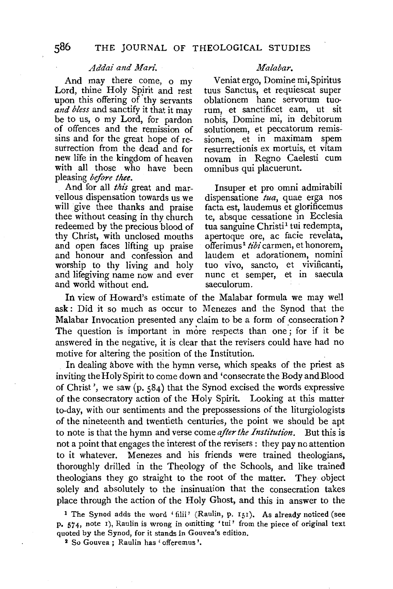#### *Addai and Mari.*

And may there come, o my Lord, thine Holy Spirit and rest upon this offering of 'thy servants *and bless* and sanctify it that it may be to us, o my Lord, for pardon of offences and the remission of sins and for the great hope of resurrection from the dead and for new life in the kingdom of heaven with all those who have been pleasing *before thee.* 

vellous dispensation towards us we dispensatione *tua,* quae erga nos will give thee thanks and praise facta est, laudemus et glorificemus thee without ceasing in thy church te, absque cessatione in Ecclesia redeemed by the precious blood of tua sanguine Christi<sup>1</sup> tui redempta, thy Christ, with unclosed mouths apertoque ore, ac facie revelata, and open faces lifting up praise offerimus<sup>2</sup> tibi carmen, et honorem, and open faces lifting up praise offerimus<sup>2</sup> tibi carmen, et honorem, and honour and confession and laudem et adorationem, nomini and honour and confession and laudem et adorationem, nomini worship to thy living and holy and lifegiving name now and ever nunc et semper, et in saecula and world without end.

#### *Malabar.*

Veniat ergo, Domine mi, Spiritus tuus Sanctus, et requiescat super oblationem bane servorum tuorum, et sanctificet eam, ut sit nobis, Domine mi, in debitorum solutionem, et peccatorum remissionem, et in maximam spem resurrectionis ex mortuis, et vitam novam in Regno Caelesti cum omnibus qui placuerunt.

And for all *this* great and mar- Insuper et pro omni admirabili te, absque cessatione in Ecclesia

In view of Howard's estimate of the Malabar formula we may well ask: Did it so much as occur to Menezes and the Synod that the Malabar Invocation presented any claim to be a form of consecration? The question is important in more respects than one; for if it be answered in the negative, it is clear that the revisers could have had no motive for altering the position of the Institution.

In dealing above with the hymn verse, which speaks of the priest as inviting the Holy Spirit to come down and 'consecrate the Body and Blood of Christ', we saw (p. 584) that the Synod excised the words expressive of the consecratory action of the Holy Spirit. Looking at this matter to-day, with our sentiments and the prepossessions of the liturgiologists of the nineteenth and twentieth centuries, the point we should be apt to note is that the hymn and verse come *after the Institution.* But this is not a point that engages the interest of the revisers : they pay no attention to it whatever. Menezes and his friends were trained theologians, thoroughly drilled in the Theology of the Schools, and like trained theologians they go straight to the root of the matter. They object solely and absolutely to the insinuation that the consecration takes place through the action of the Holy Ghost, and this in answer to the

<sup>1</sup> The Synod adds the word 'filii' (Raulin, p. 151). As already noticed (see p. 574, note r), Raulin is wrong in omitting 'tui' from the piece of original text quoted by the Synod, for it stands in Gouvea's edition.<br><sup>2</sup> So Gouvea : Raulin has 'offeremus'.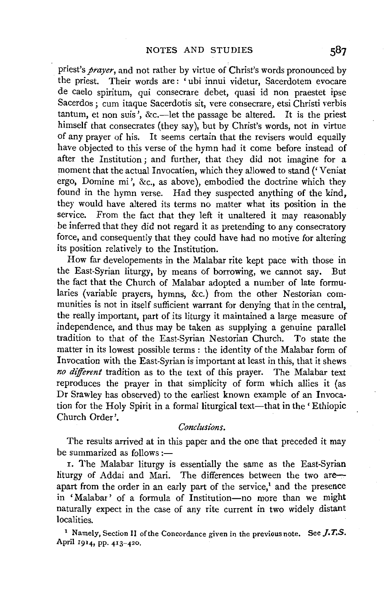priest's *prayer,* and not rather by virtue of Christ's words pronounced by the priest. Their words are: 'ubi innui videtur, Sacerdotem evocare de caelo spiritum, qui consecrare debet, quasi id non praestet ipse Sacerdos; cum itaque Sacerdotis sit, vere consecrare, etsi Christi verbis tantum, et non suis', &c.-let the passage be altered. It is the priest himself that consecrates (they say), but by Christ's words, not in virtue of any prayer of his. It seems certain that the revisers would equally have objected to this verse of the hymn had it come before instead of after the Institution; and further, that they did not imagine for a moment that the actual Invocatiem, which they allowed to stand (' Veniat ergo, Domine mi ', &c., as above), embodied the doctrine which they found in the hymn verse. Had they suspected anything of the kind, they would have altered its terms no matter what its position in the service. From the fact that they left it unaltered it may reasonably be inferred that they did not regard it as pretending to any consecratory force, and consequently that they could have had no motive for altering its position relatively to the Institution.

How far developements in the Malabar rite kept pace with those in the East-Syrian liturgy, by means of borrowing, we cannot say. But the fact that the Church of Malabar adopted a number of late formularies (variable prayers, hymns, &c.) from the other Nestorian communities is not in itself sufficient warrant for denying that in the central, the really important, part of its liturgy it maintained a large measure of independence, and thus may be taken as supplying a genuine parallel tradition to that of the East-Syrian Nestorian Church. To state the matter in its lowest possible terms : the identity of the Malabar form of Invocation with the East-Syrian is important at least in this, that it shews *no different* tradition as to the text of this prayer. The Malabar text reproduces the prayer in that simplicity of form which allies it (as Dr Srawley has observed) to the earliest known example of an Invocation for the Holy Spirit in a formal liturgical text—that in the 'Ethiopic Church Order'.

# *Conclusions.*

The results arrived at in this paper and the one that preceded it may be summarized as follows  $:=$ 

I. The Malabar liturgy is essentially the same as the East-Syrian liturgy of Addai and Mari. The differences between the two areapart from the order in an early part of the service,<sup>1</sup> and the presence in 'Malabar' of a formula of Institution-no more than we might naturally expect in the case of any rite current in two widely distant localities.

1 Namely, Section II of the Concordance given in the previous note. See *J.T.S.*  April 1914, pp. 413-420.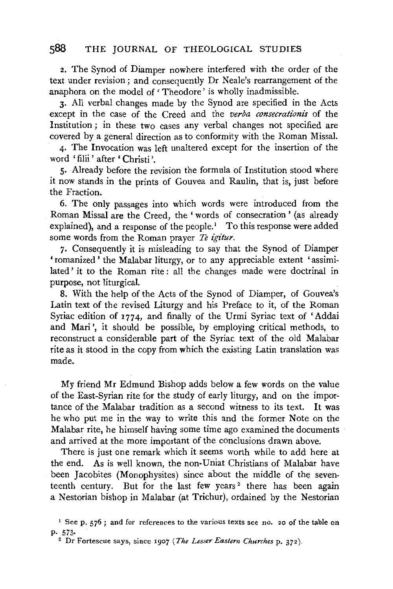2. The Synod of Diamper nowhere interfered with the order of the text under revision; and consequently Dr Neale's rearrangement of the anaphora on the model of 'Theodore' is wholly inadmissible.

3· All verbal changes made by the Synod are specified in the Acts except in the case of the Creed and the *verba consecrationis* of the Institution ; in these two cases any verbal changes not specified are covered by a general direction as to conformity with the Roman Missal.

4· The Invocation was left unaltered except for the insertion of the word 'filii' after 'Christi'.

5· Already before the revision the formula of Institution stood where it now stands in the prints of Gouvea and Raulin, that is, just before the Fraction.

6. The only passages into which words were introduced from the Roman Missal are the Creed, the' words of consecration' (as already explained), and a response of the people.<sup>1</sup> To this response were added some words from the Roman prayer *Te igitur*.

7· Consequently it is misleading to say that the Synod of Diamper 'romanized' the Malabar liturgy, or to any appreciable extent 'assimilated' it to the Roman rite: all the changes made were doctrinal in purpose, not liturgical.

8. With the help of the Acts of the Synod of Diamper, of Gouvea's Latin text of the revised Liturgy and his Preface to it, of the Roman Syriac edition of 1774, and finally of the Urmi Syriac text of 'Addai and Mari', it should be possible, by employing critical methods, to reconstruct a considerable part of the Syriac text of the old Malabar rite as it stood in the copy from which the existing Latin translation was made.

My friend Mr Edmund Bishop adds below a few words on the value of the East-Syrian rite for the study of early liturgy, and on the importance of the Malabar tradition as a second witness to its text. It was he who put me in the way to write this and the former Note on the Malabar rite, he himself having some time ago examined the documents and arrived at the more important of the conclusions drawn above.

There is just one remark which it seems worth while to add here at the end. As is well known, the non-Uniat Christians of Malabar have been Jacobites (Monophysites) since about the middle of the seventeenth century. But for the last few years<sup>2</sup> there has been again a Nestorian bishop in Malabar (at Trichur), ordained by the Nestorian

<sup>&</sup>lt;sup>1</sup> See p. 576 ; and for references to the various texts see no. 20 of the table on p. 573·

<sup>2</sup> Dr Fortescue says, since 1907 *(The Lesser Eastern Churches* p. 372).